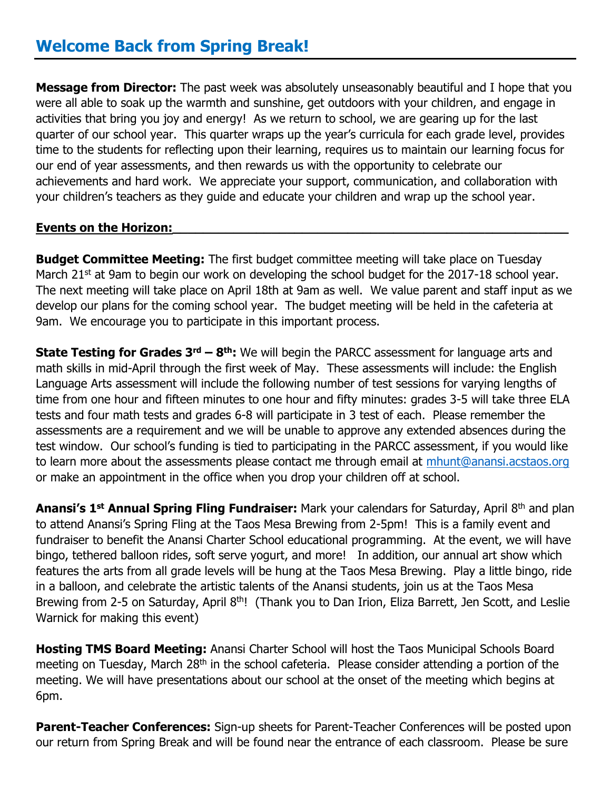**Message from Director:** The past week was absolutely unseasonably beautiful and I hope that you were all able to soak up the warmth and sunshine, get outdoors with your children, and engage in activities that bring you joy and energy! As we return to school, we are gearing up for the last quarter of our school year. This quarter wraps up the year's curricula for each grade level, provides time to the students for reflecting upon their learning, requires us to maintain our learning focus for our end of year assessments, and then rewards us with the opportunity to celebrate our achievements and hard work. We appreciate your support, communication, and collaboration with your children's teachers as they guide and educate your children and wrap up the school year.

## **Events on the Horizon:**

**Budget Committee Meeting:** The first budget committee meeting will take place on Tuesday March  $21^{st}$  at 9am to begin our work on developing the school budget for the 2017-18 school year. The next meeting will take place on April 18th at 9am as well. We value parent and staff input as we develop our plans for the coming school year. The budget meeting will be held in the cafeteria at 9am. We encourage you to participate in this important process.

**State Testing for Grades 3rd – 8 th:** We will begin the PARCC assessment for language arts and math skills in mid-April through the first week of May. These assessments will include: the English Language Arts assessment will include the following number of test sessions for varying lengths of time from one hour and fifteen minutes to one hour and fifty minutes: grades 3-5 will take three ELA tests and four math tests and grades 6-8 will participate in 3 test of each. Please remember the assessments are a requirement and we will be unable to approve any extended absences during the test window. Our school's funding is tied to participating in the PARCC assessment, if you would like to learn more about the assessments please contact me through email at [mhunt@anansi.acstaos.org](mailto:mhunt@anansi.acstaos.org) or make an appointment in the office when you drop your children off at school.

**Anansi's 1st Annual Spring Fling Fundraiser:** Mark your calendars for Saturday, April 8th and plan to attend Anansi's Spring Fling at the Taos Mesa Brewing from 2-5pm! This is a family event and fundraiser to benefit the Anansi Charter School educational programming. At the event, we will have bingo, tethered balloon rides, soft serve yogurt, and more! In addition, our annual art show which features the arts from all grade levels will be hung at the Taos Mesa Brewing. Play a little bingo, ride in a balloon, and celebrate the artistic talents of the Anansi students, join us at the Taos Mesa Brewing from 2-5 on Saturday, April 8<sup>th</sup>! (Thank you to Dan Irion, Eliza Barrett, Jen Scott, and Leslie Warnick for making this event)

**Hosting TMS Board Meeting:** Anansi Charter School will host the Taos Municipal Schools Board meeting on Tuesday, March 28<sup>th</sup> in the school cafeteria. Please consider attending a portion of the meeting. We will have presentations about our school at the onset of the meeting which begins at 6pm.

**Parent-Teacher Conferences:** Sign-up sheets for Parent-Teacher Conferences will be posted upon our return from Spring Break and will be found near the entrance of each classroom. Please be sure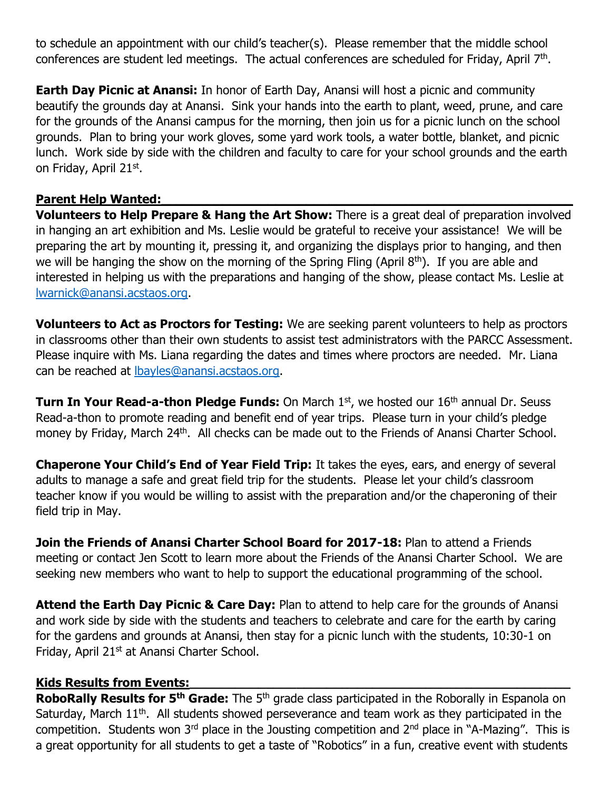to schedule an appointment with our child's teacher(s). Please remember that the middle school conferences are student led meetings. The actual conferences are scheduled for Friday, April 7<sup>th</sup>.

**Earth Day Picnic at Anansi:** In honor of Earth Day, Anansi will host a picnic and community beautify the grounds day at Anansi. Sink your hands into the earth to plant, weed, prune, and care for the grounds of the Anansi campus for the morning, then join us for a picnic lunch on the school grounds. Plan to bring your work gloves, some yard work tools, a water bottle, blanket, and picnic lunch. Work side by side with the children and faculty to care for your school grounds and the earth on Friday, April 21st.

## **Parent Help Wanted:**

**Volunteers to Help Prepare & Hang the Art Show:** There is a great deal of preparation involved in hanging an art exhibition and Ms. Leslie would be grateful to receive your assistance! We will be preparing the art by mounting it, pressing it, and organizing the displays prior to hanging, and then we will be hanging the show on the morning of the Spring Fling (April 8<sup>th</sup>). If you are able and interested in helping us with the preparations and hanging of the show, please contact Ms. Leslie at [lwarnick@anansi.acstaos.org.](mailto:lwarnick@anansi.acstaos.org)

**Volunteers to Act as Proctors for Testing:** We are seeking parent volunteers to help as proctors in classrooms other than their own students to assist test administrators with the PARCC Assessment. Please inquire with Ms. Liana regarding the dates and times where proctors are needed. Mr. Liana can be reached at [lbayles@anansi.acstaos.org.](mailto:lbayles@anansi.acstaos.org)

**Turn In Your Read-a-thon Pledge Funds:** On March 1<sup>st</sup>, we hosted our 16<sup>th</sup> annual Dr. Seuss Read-a-thon to promote reading and benefit end of year trips. Please turn in your child's pledge money by Friday, March 24<sup>th</sup>. All checks can be made out to the Friends of Anansi Charter School.

**Chaperone Your Child's End of Year Field Trip:** It takes the eyes, ears, and energy of several adults to manage a safe and great field trip for the students. Please let your child's classroom teacher know if you would be willing to assist with the preparation and/or the chaperoning of their field trip in May.

**Join the Friends of Anansi Charter School Board for 2017-18:** Plan to attend a Friends meeting or contact Jen Scott to learn more about the Friends of the Anansi Charter School. We are seeking new members who want to help to support the educational programming of the school.

**Attend the Earth Day Picnic & Care Day:** Plan to attend to help care for the grounds of Anansi and work side by side with the students and teachers to celebrate and care for the earth by caring for the gardens and grounds at Anansi, then stay for a picnic lunch with the students, 10:30-1 on Friday, April 21<sup>st</sup> at Anansi Charter School.

## **Kids Results from Events:\_\_\_\_\_\_\_\_\_\_\_\_\_\_\_\_\_\_\_\_\_\_\_\_\_\_\_\_\_\_\_\_\_\_\_\_\_\_\_\_\_\_\_\_\_\_\_\_\_\_**

**RoboRally Results for 5th Grade:** The 5th grade class participated in the Roborally in Espanola on Saturday, March 11<sup>th</sup>. All students showed perseverance and team work as they participated in the competition. Students won 3<sup>rd</sup> place in the Jousting competition and  $2^{nd}$  place in "A-Mazing". This is a great opportunity for all students to get a taste of "Robotics" in a fun, creative event with students